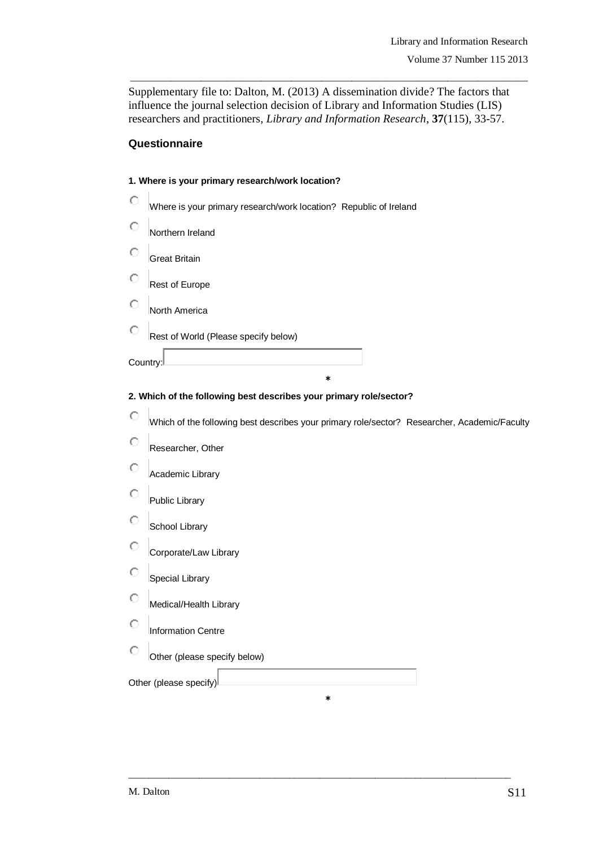Supplementary file to: Dalton, M. (2013) A dissemination divide? The factors that influence the journal selection decision of Library and Information Studies (LIS) researchers and practitioners, *Library and Information Research*, **37**(115), 33-57.

\_\_\_\_\_\_\_\_\_\_\_\_\_\_\_\_\_\_\_\_\_\_\_\_\_\_\_\_\_\_\_\_\_\_\_\_\_\_\_\_\_\_\_\_\_\_\_\_\_\_\_\_\_\_\_\_\_\_\_\_\_\_\_\_\_\_\_\_\_\_\_\_\_\_\_\_\_\_\_

## **Questionnaire**

| 1. Where is your primary research/work location? |                                                                   |  |  |  |
|--------------------------------------------------|-------------------------------------------------------------------|--|--|--|
|                                                  | Where is your primary research/work location? Republic of Ireland |  |  |  |
|                                                  | Northern Ireland                                                  |  |  |  |
|                                                  | <b>Great Britain</b>                                              |  |  |  |
|                                                  | Rest of Europe                                                    |  |  |  |
|                                                  | North America                                                     |  |  |  |
|                                                  | Rest of World (Please specify below)                              |  |  |  |
| Country:                                         |                                                                   |  |  |  |
|                                                  | $\ast$                                                            |  |  |  |

### **2. Which of the following best describes your primary role/sector?**

|   | Which of the following best describes your primary role/sector? Researcher, Academic/Faculty |
|---|----------------------------------------------------------------------------------------------|
| О | Researcher, Other                                                                            |
|   | Academic Library                                                                             |
|   | <b>Public Library</b>                                                                        |
|   | School Library                                                                               |
| O | Corporate/Law Library                                                                        |
|   | <b>Special Library</b>                                                                       |
| O | Medical/Health Library                                                                       |
|   | <b>Information Centre</b>                                                                    |
| Ω | Other (please specify below)                                                                 |
|   | Other (please specify)                                                                       |

\_\_\_\_\_\_\_\_\_\_\_\_\_\_\_\_\_\_\_\_\_\_\_\_\_\_\_\_\_\_\_\_\_\_\_\_\_\_\_\_\_\_\_\_\_\_\_\_\_\_\_\_\_\_\_\_\_\_\_\_\_\_\_\_\_\_\_\_\_\_\_\_\_\_\_\_

**\***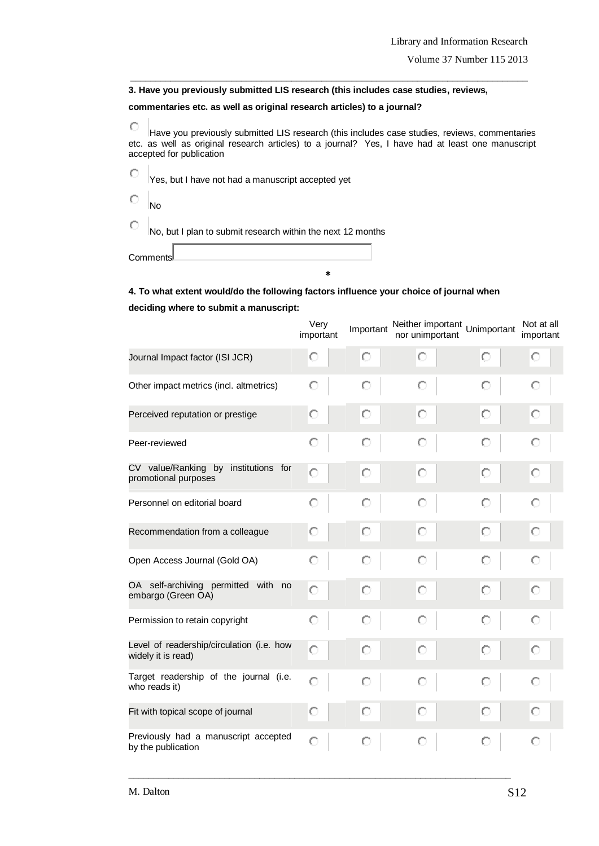**3. Have you previously submitted LIS research (this includes case studies, reviews,** 

#### **commentaries etc. as well as original research articles) to a journal?**

 $\circ$ Have you previously submitted LIS research (this includes case studies, reviews, commentaries etc. as well as original research articles) to a journal? Yes, I have had at least one manuscript accepted for publication

\_\_\_\_\_\_\_\_\_\_\_\_\_\_\_\_\_\_\_\_\_\_\_\_\_\_\_\_\_\_\_\_\_\_\_\_\_\_\_\_\_\_\_\_\_\_\_\_\_\_\_\_\_\_\_\_\_\_\_\_\_\_\_\_\_\_\_\_\_\_\_\_\_\_\_\_\_\_\_

 $\circ$ Yes, but I have not had a manuscript accepted yet

 $\circ$ No

 $\circ$ No, but I plan to submit research within the next 12 months

**Comments** 

#### **4. To what extent would/do the following factors influence your choice of journal when**

**\***

#### **deciding where to submit a manuscript:**

|                                                                 | Very<br>important | Important | Neither important<br>nor unimportant | Unimportant | Not at all<br>important |
|-----------------------------------------------------------------|-------------------|-----------|--------------------------------------|-------------|-------------------------|
| Journal Impact factor (ISI JCR)                                 | О                 | О         | О                                    | О           | О                       |
| Other impact metrics (incl. altmetrics)                         | О                 | О         | О                                    | О           | О                       |
| Perceived reputation or prestige                                | О                 | О         | О                                    | О           | О                       |
| Peer-reviewed                                                   | О                 | O         | О                                    | О           | О                       |
| CV value/Ranking by institutions for<br>promotional purposes    | О                 | О         | О                                    | О           | О                       |
| Personnel on editorial board                                    | О                 | Ω         | О                                    | О           | О                       |
| Recommendation from a colleague                                 | О                 | О         | О                                    | О           | О                       |
| Open Access Journal (Gold OA)                                   | О                 | Ω         | О                                    | О           | О                       |
| OA self-archiving permitted with no<br>embargo (Green OA)       | O                 | О         | O                                    | О           | О                       |
| Permission to retain copyright                                  | О                 | O         | О                                    | О           | О                       |
| Level of readership/circulation (i.e. how<br>widely it is read) | О                 | О         | О                                    | О           | О                       |
| Target readership of the journal (i.e.<br>who reads it)         | О                 | О         | Ω                                    | О           | O                       |
| Fit with topical scope of journal                               | О                 | О         | О                                    | О           | О                       |
| Previously had a manuscript accepted<br>by the publication      | О                 |           | О                                    | О           | О                       |

\_\_\_\_\_\_\_\_\_\_\_\_\_\_\_\_\_\_\_\_\_\_\_\_\_\_\_\_\_\_\_\_\_\_\_\_\_\_\_\_\_\_\_\_\_\_\_\_\_\_\_\_\_\_\_\_\_\_\_\_\_\_\_\_\_\_\_\_\_\_\_\_\_\_\_\_